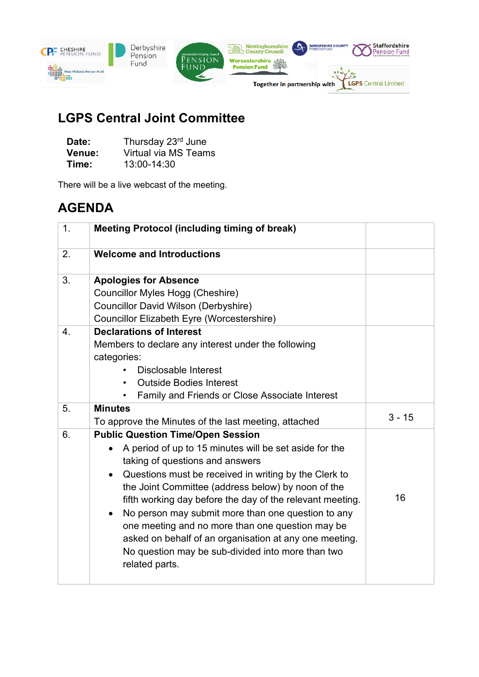

## **LGPS Central Joint Committee**

| Date:  | Thursday 23rd June   |
|--------|----------------------|
| Venue: | Virtual via MS Teams |
| Time:  | 13:00-14:30          |

There will be a live webcast of the meeting.

## **AGENDA**

| 1 <sub>1</sub>   | <b>Meeting Protocol (including timing of break)</b>                                                                                                                                                                                                                                                                                                                                                                                                                                                                                                                                    |          |
|------------------|----------------------------------------------------------------------------------------------------------------------------------------------------------------------------------------------------------------------------------------------------------------------------------------------------------------------------------------------------------------------------------------------------------------------------------------------------------------------------------------------------------------------------------------------------------------------------------------|----------|
| 2.               | <b>Welcome and Introductions</b>                                                                                                                                                                                                                                                                                                                                                                                                                                                                                                                                                       |          |
| 3.               | <b>Apologies for Absence</b><br>Councillor Myles Hogg (Cheshire)<br>Councillor David Wilson (Derbyshire)<br>Councillor Elizabeth Eyre (Worcestershire)                                                                                                                                                                                                                                                                                                                                                                                                                                 |          |
| $\overline{4}$ . | <b>Declarations of Interest</b><br>Members to declare any interest under the following<br>categories:<br>Disclosable Interest<br><b>Outside Bodies Interest</b><br>$\bullet$<br><b>Family and Friends or Close Associate Interest</b>                                                                                                                                                                                                                                                                                                                                                  |          |
| 5.               | <b>Minutes</b><br>To approve the Minutes of the last meeting, attached                                                                                                                                                                                                                                                                                                                                                                                                                                                                                                                 | $3 - 15$ |
| 6.               | <b>Public Question Time/Open Session</b><br>A period of up to 15 minutes will be set aside for the<br>taking of questions and answers<br>Questions must be received in writing by the Clerk to<br>$\bullet$<br>the Joint Committee (address below) by noon of the<br>fifth working day before the day of the relevant meeting.<br>No person may submit more than one question to any<br>$\bullet$<br>one meeting and no more than one question may be<br>asked on behalf of an organisation at any one meeting.<br>No question may be sub-divided into more than two<br>related parts. | 16       |